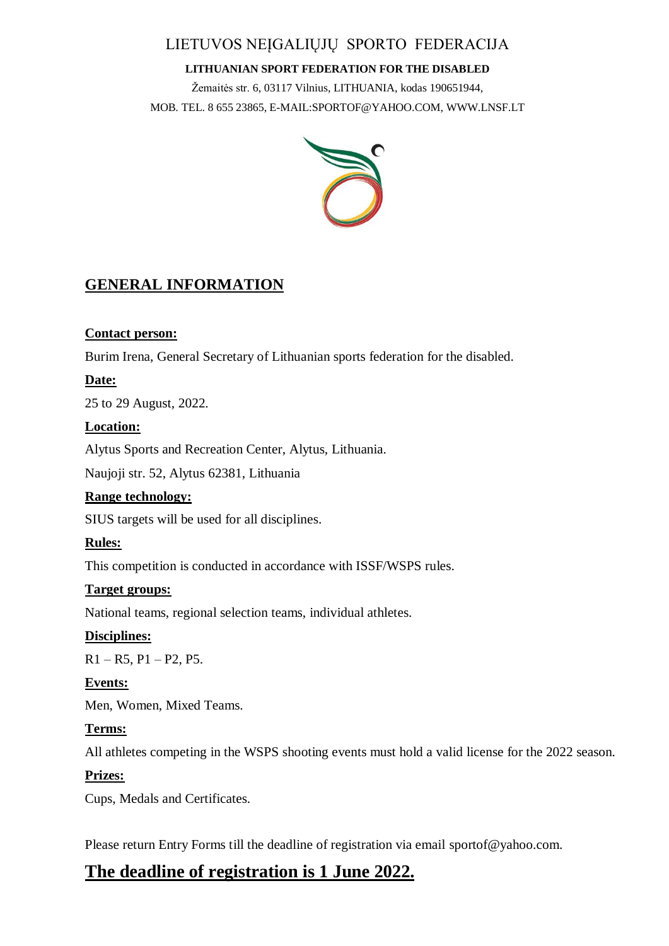# LIETUVOS NEĮGALIŲJŲ SPORTO FEDERACIJA

#### **LITHUANIAN SPORT FEDERATION FOR THE DISABLED**

Žemaitės str. 6, 03117 Vilnius, LITHUANIA, kodas 190651944, MOB. TEL. 8 655 23865, E-MAIL:SPORTOF@YAHOO.COM, WWW.LNSF.LT



# **GENERAL INFORMATION**

# **Contact person:**

Burim Irena, General Secretary of Lithuanian sports federation for the disabled.

# **Date:**

25 to 29 August, 2022.

### **Location:**

Alytus Sports and Recreation Center, Alytus, Lithuania.

Naujoji str. 52, Alytus 62381, Lithuania

# **Range technology:**

SIUS targets will be used for all disciplines.

# **Rules:**

This competition is conducted in accordance with ISSF/WSPS rules.

# **Target groups:**

National teams, regional selection teams, individual athletes.

# **Disciplines:**

 $R1 - R5$ ,  $P1 - P2$ ,  $P5$ .

# **Events:**

Men, Women, Mixed Teams.

# **Terms:**

All athletes competing in the WSPS shooting events must hold a valid license for the 2022 season.

# **Prizes:**

Cups, Medals and Certificates.

Please return Entry Forms till the deadline of registration via email sportof@yahoo.com.

# **The deadline of registration is 1 June 2022.**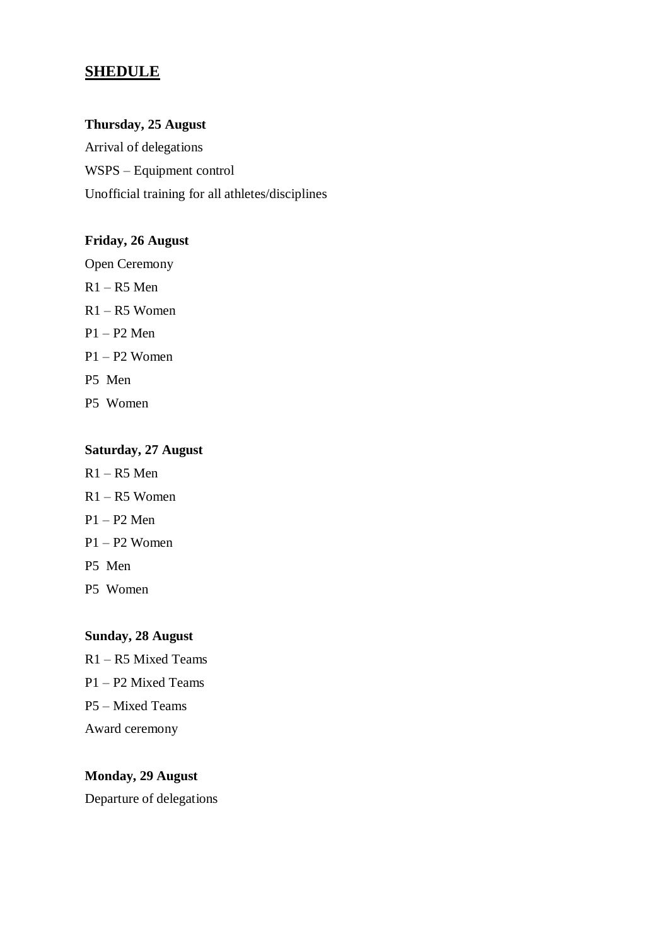# **SHEDULE**

#### **Thursday, 25 August**

Arrival of delegations WSPS – Equipment control Unofficial training for all athletes/disciplines

#### **Friday, 26 August**

Open Ceremony R1 – R5 Men R1 – R5 Women P1 – P2 Men P1 – P2 Women P5 Men P5 Women

#### **Saturday, 27 August**

- $R1 R5$  Men R1 – R5 Women P1 – P2 Men P1 – P2 Women
- P5 Men
- P5 Women

# **Sunday, 28 August**

R1 – R5 Mixed Teams P1 – P2 Mixed Teams P5 – Mixed Teams Award ceremony

#### **Monday, 29 August**

Departure of delegations